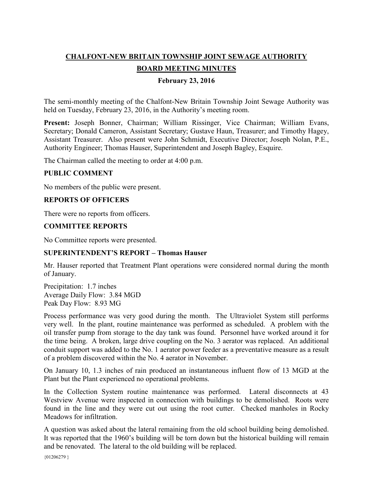# **CHALFONT-NEW BRITAIN TOWNSHIP JOINT SEWAGE AUTHORITY**

# **BOARD MEETING MINUTES**

## **February 23, 2016**

The semi-monthly meeting of the Chalfont-New Britain Township Joint Sewage Authority was held on Tuesday, February 23, 2016, in the Authority's meeting room.

**Present:** Joseph Bonner, Chairman; William Rissinger, Vice Chairman; William Evans, Secretary; Donald Cameron, Assistant Secretary; Gustave Haun, Treasurer; and Timothy Hagey, Assistant Treasurer. Also present were John Schmidt, Executive Director; Joseph Nolan, P.E., Authority Engineer; Thomas Hauser, Superintendent and Joseph Bagley, Esquire.

The Chairman called the meeting to order at 4:00 p.m.

## **PUBLIC COMMENT**

No members of the public were present.

## **REPORTS OF OFFICERS**

There were no reports from officers.

## **COMMITTEE REPORTS**

No Committee reports were presented.

# **SUPERINTENDENT'S REPORT – Thomas Hauser**

Mr. Hauser reported that Treatment Plant operations were considered normal during the month of January.

Precipitation: 1.7 inches Average Daily Flow: 3.84 MGD Peak Day Flow: 8.93 MG

Process performance was very good during the month. The Ultraviolet System still performs very well. In the plant, routine maintenance was performed as scheduled. A problem with the oil transfer pump from storage to the day tank was found. Personnel have worked around it for the time being. A broken, large drive coupling on the No. 3 aerator was replaced. An additional conduit support was added to the No. 1 aerator power feeder as a preventative measure as a result of a problem discovered within the No. 4 aerator in November.

On January 10, 1.3 inches of rain produced an instantaneous influent flow of 13 MGD at the Plant but the Plant experienced no operational problems.

In the Collection System routine maintenance was performed. Lateral disconnects at 43 Westview Avenue were inspected in connection with buildings to be demolished. Roots were found in the line and they were cut out using the root cutter. Checked manholes in Rocky Meadows for infiltration.

A question was asked about the lateral remaining from the old school building being demolished. It was reported that the 1960's building will be torn down but the historical building will remain and be renovated. The lateral to the old building will be replaced.